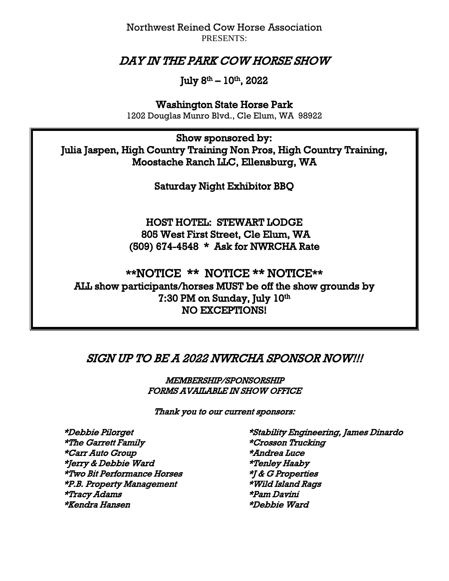Northwest Reined Cow Horse Association PRESENTS:

# DAY IN THE PARK COW HORSE SHOW

### July 8<sup>th</sup> – 10<sup>th</sup>, 2022

Washington State Horse Park

1202 Douglas Munro Blvd., Cle Elum, WA 98922

Show sponsored by: Julia Jaspen, High Country Training Non Pros, High Country Training, Moostache Ranch LLC, Ellensburg, WA

Saturday Night Exhibitor BBQ

HOST HOTEL: STEWART LODGE 805 West First Street, Cle Elum, WA (509) 674-4548 \* Ask for NWRCHA Rate

\*\*NOTICE \*\* NOTICE \*\* NOTICE\*\* ALL show participants/horses MUST be off the show grounds by 7:30 PM on Sunday, July 10th NO EXCEPTIONS!

## SIGN UP TO BE A 2022 NWRCHA SPONSOR NOW!!!

MEMBERSHIP/SPONSORSHIP FORMS AVAILABLE IN SHOW OFFICE

Thank you to our current sponsors:

 \*The Garrett Family \*Crosson Trucking \*Carr Auto Group \*Andrea Luce \*Jerry & Debbie Ward \*Tenley Haaby \*Two Bit Performance Horses \*J & G Properties \*P.B. Property Management \*Wild Island Rags \*Tracy Adams \*Pam Davini \*Kendra Hansen \*Debbie Ward

\*Debbie Pilorget \*Stability Engineering, James Dinardo